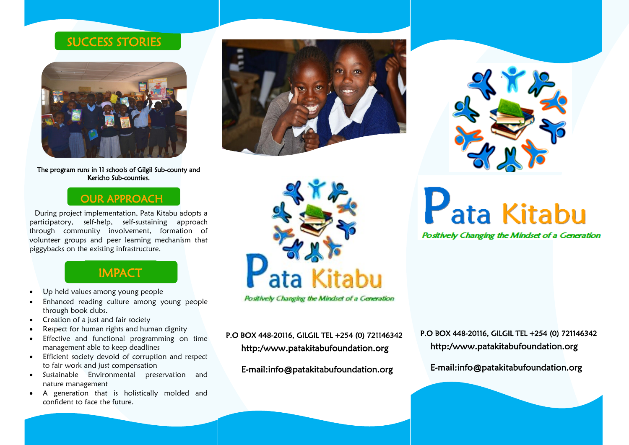#### SUCCESS STORIES



The program runs in 11 schools of Gilgil Sub-county and Kericho Sub-counties.

#### OUR APPROACH

During project implementation, Pata Kitabu adopts a participatory, self-help, self-sustaining approach through community involvement, formation of volunteer groups and peer learning mechanism that piggybacks on the existing infrastructure.

### **IMPACT**

- Up held values among young people
- Enhanced reading culture among young people through book clubs.
- Creation of a just and fair society
- Respect for human rights and human dignity
- Effective and functional programming on time management able to keep deadlines
- Efficient society devoid of corruption and respect to fair work and just compensation
- Sustainable Environmental preservation and nature management
- A generation that is holistically molded and confident to face the future.





Positively Changing the Mindset of a Generation

http:/www.patakitabufoundation.org P.O BOX 448-20116, GILGIL TEL +254 (0) 721146342

E-mail:info@patakitabufoundation.org



Pata Kitabu

Positively Changing the Mindset of a Generation

http:/www.patakitabufoundation.org P.O BOX 448-20116, GILGIL TEL +254 (0) 721146342

E-mail:info@patakitabufoundation.org